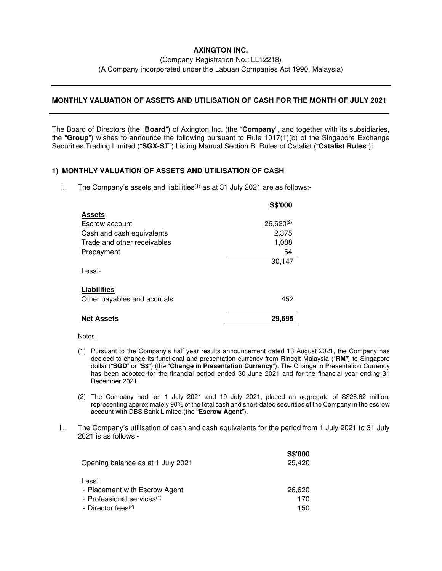## **AXINGTON INC.**

(Company Registration No.: LL12218)

(A Company incorporated under the Labuan Companies Act 1990, Malaysia)

## **MONTHLY VALUATION OF ASSETS AND UTILISATION OF CASH FOR THE MONTH OF JULY 2021**

The Board of Directors (the "**Board**") of Axington Inc. (the "**Company**", and together with its subsidiaries, the "**Group**") wishes to announce the following pursuant to Rule 1017(1)(b) of the Singapore Exchange Securities Trading Limited ("**SGX-ST**") Listing Manual Section B: Rules of Catalist ("**Catalist Rules**"):

## **1) MONTHLY VALUATION OF ASSETS AND UTILISATION OF CASH**

i. The Company's assets and liabilities<sup> $(1)$ </sup> as at 31 July 2021 are as follows:-

|                             | S\$'000        |
|-----------------------------|----------------|
| <b>Assets</b>               |                |
| Escrow account              | $26,620^{(2)}$ |
| Cash and cash equivalents   | 2,375          |
| Trade and other receivables | 1,088          |
| Prepayment                  | 64             |
|                             | 30,147         |
| Less:                       |                |
| Liabilities                 |                |
| Other payables and accruals | 452            |
| <b>Net Assets</b>           | 29,695         |
|                             |                |

Notes:

- (1) Pursuant to the Company's half year results announcement dated 13 August 2021, the Company has decided to change its functional and presentation currency from Ringgit Malaysia ("**RM**") to Singapore dollar ("**SGD**" or "**S\$**") (the "**Change in Presentation Currency**"). The Change in Presentation Currency has been adopted for the financial period ended 30 June 2021 and for the financial year ending 31 December 2021.
- (2) The Company had, on 1 July 2021 and 19 July 2021, placed an aggregate of S\$26.62 million, representing approximately 90% of the total cash and short-dated securities of the Company in the escrow account with DBS Bank Limited (the "**Escrow Agent**").
- ii. The Company's utilisation of cash and cash equivalents for the period from 1 July 2021 to 31 July 2021 is as follows:-

| <b>S\$'000</b> |
|----------------|
| 29,420         |
|                |
|                |
| 26,620         |
| 170            |
| 150            |
|                |